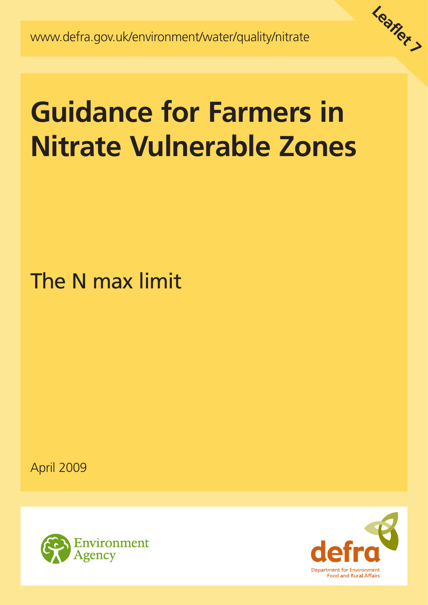

# **Guidance for Farmers in Nitrate Vulnerable Zones**

The N max limit

April 2009



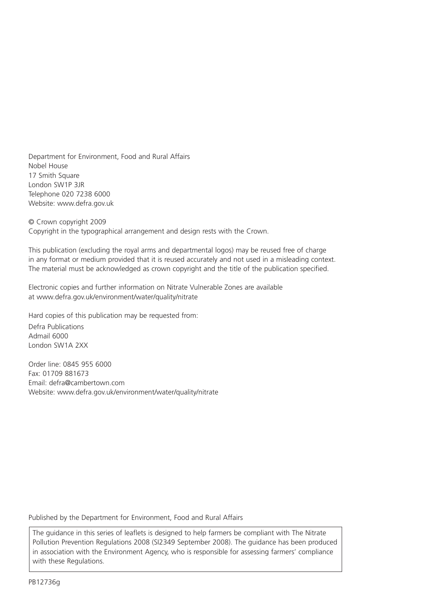Department for Environment, Food and Rural Affairs Nobel House 17 Smith Square London SW1P 3JR Telephone 020 7238 6000 Website: www.defra.gov.uk

© Crown copyright 2009 Copyright in the typographical arrangement and design rests with the Crown.

This publication (excluding the royal arms and departmental logos) may be reused free of charge in any format or medium provided that it is reused accurately and not used in a misleading context. The material must be acknowledged as crown copyright and the title of the publication specified.

Electronic copies and further information on Nitrate Vulnerable Zones are available at www.defra.gov.uk/environment/water/quality/nitrate

Hard copies of this publication may be requested from:

Defra Publications Admail 6000 London SW1A 2XX

Order line: 0845 955 6000 Fax: 01709 881673 Email: defra@cambertown.com Website: www.defra.gov.uk/environment/water/quality/nitrate

Published by the Department for Environment, Food and Rural Affairs

The guidance in this series of leaflets is designed to help farmers be compliant with The Nitrate Pollution Prevention Regulations 2008 (SI2349 September 2008). The guidance has been produced in association with the Environment Agency, who is responsible for assessing farmers' compliance with these Regulations.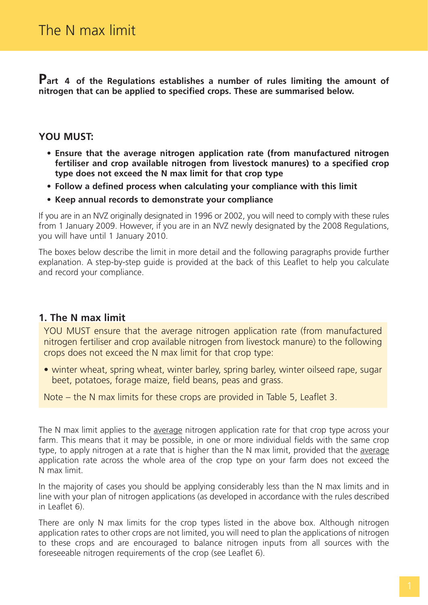**Part 4 of the Regulations establishes a number of rules limiting the amount of nitrogen that can be applied to specified crops. These are summarised below.**

#### **YOU MUST:**

- **Ensure that the average nitrogen application rate (from manufactured nitrogen fertiliser and crop available nitrogen from livestock manures) to a specified crop type does not exceed the N max limit for that crop type**
- **Follow a defined process when calculating your compliance with this limit**
- **Keep annual records to demonstrate your compliance**

If you are in an NVZ originally designated in 1996 or 2002, you will need to comply with these rules from 1 January 2009. However, if you are in an NVZ newly designated by the 2008 Regulations, you will have until 1 January 2010.

The boxes below describe the limit in more detail and the following paragraphs provide further explanation. A step-by-step guide is provided at the back of this Leaflet to help you calculate and record your compliance.

#### **1. The N max limit**

YOU MUST ensure that the average nitrogen application rate (from manufactured nitrogen fertiliser and crop available nitrogen from livestock manure) to the following crops does not exceed the N max limit for that crop type:

• winter wheat, spring wheat, winter barley, spring barley, winter oilseed rape, sugar beet, potatoes, forage maize, field beans, peas and grass.

Note – the N max limits for these crops are provided in Table 5, Leaflet 3.

The N max limit applies to the average nitrogen application rate for that crop type across your farm. This means that it may be possible, in one or more individual fields with the same crop type, to apply nitrogen at a rate that is higher than the N max limit, provided that the average application rate across the whole area of the crop type on your farm does not exceed the N max limit.

In the majority of cases you should be applying considerably less than the N max limits and in line with your plan of nitrogen applications (as developed in accordance with the rules described in Leaflet 6).

There are only N max limits for the crop types listed in the above box. Although nitrogen application rates to other crops are not limited, you will need to plan the applications of nitrogen to these crops and are encouraged to balance nitrogen inputs from all sources with the foreseeable nitrogen requirements of the crop (see Leaflet 6).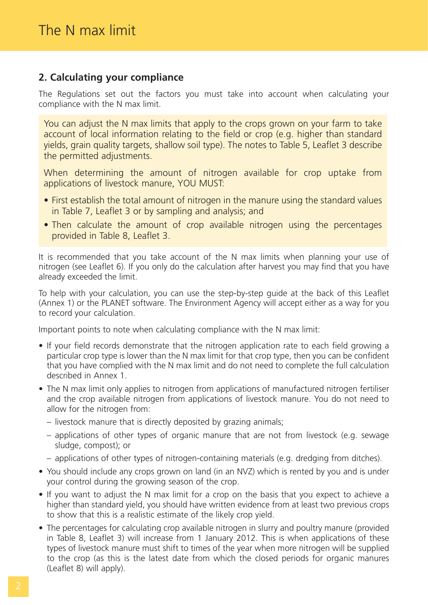# **2. Calculating your compliance**

The Regulations set out the factors you must take into account when calculating your compliance with the N max limit.

You can adjust the N max limits that apply to the crops grown on your farm to take account of local information relating to the field or crop (e.g. higher than standard yields, grain quality targets, shallow soil type). The notes to Table 5, Leaflet 3 describe the permitted adjustments.

When determining the amount of nitrogen available for crop uptake from applications of livestock manure, YOU MUST:

- First establish the total amount of nitrogen in the manure using the standard values in Table 7, Leaflet 3 or by sampling and analysis; and
- Then calculate the amount of crop available nitrogen using the percentages provided in Table 8, Leaflet 3.

It is recommended that you take account of the N max limits when planning your use of nitrogen (see Leaflet 6). If you only do the calculation after harvest you may find that you have already exceeded the limit.

To help with your calculation, you can use the step-by-step guide at the back of this Leaflet (Annex 1) or the PLANET software. The Environment Agency will accept either as a way for you to record your calculation.

Important points to note when calculating compliance with the N max limit:

- If your field records demonstrate that the nitrogen application rate to each field growing a particular crop type is lower than the N max limit for that crop type, then you can be confident that you have complied with the N max limit and do not need to complete the full calculation described in Annex 1.
- The N max limit only applies to nitrogen from applications of manufactured nitrogen fertiliser and the crop available nitrogen from applications of livestock manure. You do not need to allow for the nitrogen from:
	- livestock manure that is directly deposited by grazing animals;
	- applications of other types of organic manure that are not from livestock (e.g. sewage sludge, compost); or
	- applications of other types of nitrogen-containing materials (e.g. dredging from ditches).
- You should include any crops grown on land (in an NVZ) which is rented by you and is under your control during the growing season of the crop.
- If you want to adjust the N max limit for a crop on the basis that you expect to achieve a higher than standard yield, you should have written evidence from at least two previous crops to show that this is a realistic estimate of the likely crop yield.
- The percentages for calculating crop available nitrogen in slurry and poultry manure (provided in Table 8, Leaflet 3) will increase from 1 January 2012. This is when applications of these types of livestock manure must shift to times of the year when more nitrogen will be supplied to the crop (as this is the latest date from which the closed periods for organic manures (Leaflet 8) will apply).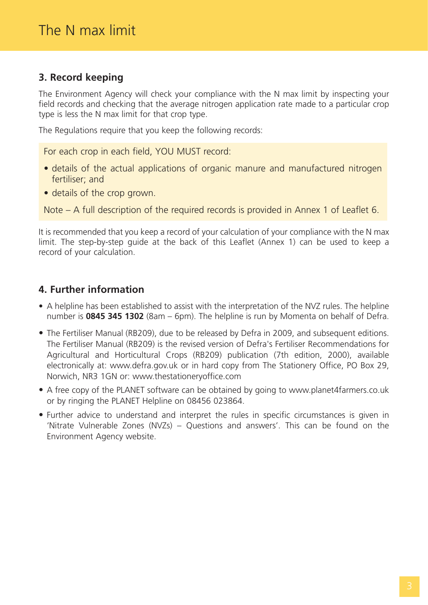# **3. Record keeping**

The Environment Agency will check your compliance with the N max limit by inspecting your field records and checking that the average nitrogen application rate made to a particular crop type is less the N max limit for that crop type.

The Regulations require that you keep the following records:

For each crop in each field, YOU MUST record:

- details of the actual applications of organic manure and manufactured nitrogen fertiliser; and
- details of the crop grown.

Note – A full description of the required records is provided in Annex 1 of Leaflet 6.

It is recommended that you keep a record of your calculation of your compliance with the N max limit. The step-by-step guide at the back of this Leaflet (Annex 1) can be used to keep a record of your calculation.

# **4. Further information**

- A helpline has been established to assist with the interpretation of the NVZ rules. The helpline number is **0845 345 1302** (8am – 6pm). The helpline is run by Momenta on behalf of Defra.
- The Fertiliser Manual (RB209), due to be released by Defra in 2009, and subsequent editions. The Fertiliser Manual (RB209) is the revised version of Defra's Fertiliser Recommendations for Agricultural and Horticultural Crops (RB209) publication (7th edition, 2000), available electronically at: www.defra.gov.uk or in hard copy from The Stationery Office, PO Box 29, Norwich, NR3 1GN or: www.thestationeryoffice.com
- A free copy of the PLANET software can be obtained by going to www.planet4farmers.co.uk or by ringing the PLANET Helpline on 08456 023864.
- Further advice to understand and interpret the rules in specific circumstances is given in 'Nitrate Vulnerable Zones (NVZs) – Questions and answers'. This can be found on the Environment Agency website.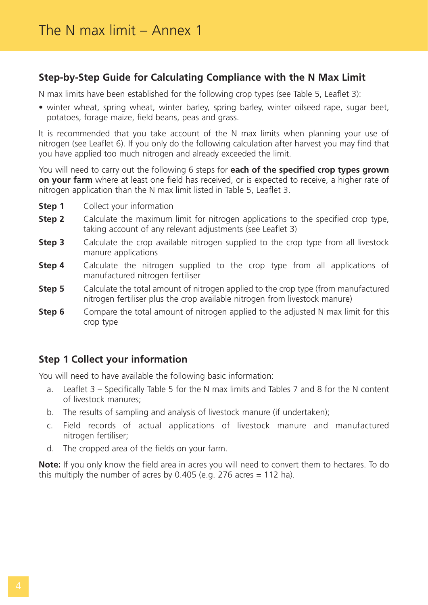### **Step-by-Step Guide for Calculating Compliance with the N Max Limit**

N max limits have been established for the following crop types (see Table 5, Leaflet 3):

• winter wheat, spring wheat, winter barley, spring barley, winter oilseed rape, sugar beet, potatoes, forage maize, field beans, peas and grass.

It is recommended that you take account of the N max limits when planning your use of nitrogen (see Leaflet 6). If you only do the following calculation after harvest you may find that you have applied too much nitrogen and already exceeded the limit.

You will need to carry out the following 6 steps for **each of the specified crop types grown on your farm** where at least one field has received, or is expected to receive, a higher rate of nitrogen application than the N max limit listed in Table 5, Leaflet 3.

- **Step 1** Collect your information
- **Step 2** Calculate the maximum limit for nitrogen applications to the specified crop type, taking account of any relevant adjustments (see Leaflet 3)
- **Step 3** Calculate the crop available nitrogen supplied to the crop type from all livestock manure applications
- **Step 4** Calculate the nitrogen supplied to the crop type from all applications of manufactured nitrogen fertiliser
- **Step 5** Calculate the total amount of nitrogen applied to the crop type (from manufactured nitrogen fertiliser plus the crop available nitrogen from livestock manure)
- **Step 6** Compare the total amount of nitrogen applied to the adjusted N max limit for this crop type

# **Step 1 Collect your information**

You will need to have available the following basic information:

- a. Leaflet 3 Specifically Table 5 for the N max limits and Tables 7 and 8 for the N content of livestock manures;
- b. The results of sampling and analysis of livestock manure (if undertaken);
- c. Field records of actual applications of livestock manure and manufactured nitrogen fertiliser;
- d. The cropped area of the fields on your farm.

**Note:** If you only know the field area in acres you will need to convert them to hectares. To do this multiply the number of acres by 0.405 (e.g. 276 acres  $= 112$  ha).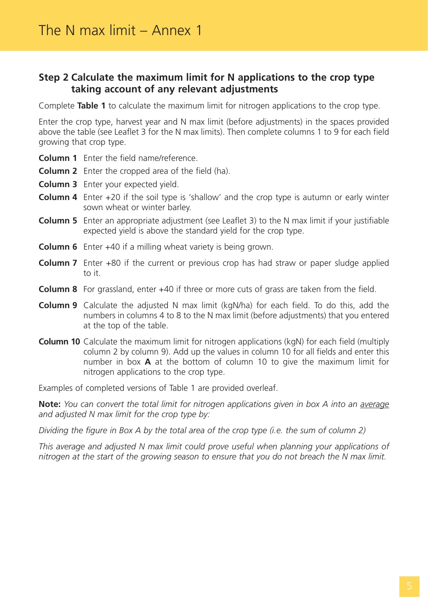#### **Step 2 Calculate the maximum limit for N applications to the crop type taking account of any relevant adjustments**

Complete **Table 1** to calculate the maximum limit for nitrogen applications to the crop type.

Enter the crop type, harvest year and N max limit (before adjustments) in the spaces provided above the table (see Leaflet 3 for the N max limits). Then complete columns 1 to 9 for each field growing that crop type.

- **Column 1** Enter the field name/reference.
- **Column 2** Enter the cropped area of the field (ha).
- **Column 3** Enter your expected yield.
- **Column 4** Enter +20 if the soil type is 'shallow' and the crop type is autumn or early winter sown wheat or winter barley.
- **Column 5** Enter an appropriate adjustment (see Leaflet 3) to the N max limit if your justifiable expected yield is above the standard yield for the crop type.
- **Column 6** Enter +40 if a milling wheat variety is being grown.
- **Column 7** Enter +80 if the current or previous crop has had straw or paper sludge applied to it.
- **Column 8** For grassland, enter +40 if three or more cuts of grass are taken from the field.
- **Column 9** Calculate the adjusted N max limit (kgN/ha) for each field. To do this, add the numbers in columns 4 to 8 to the N max limit (before adjustments) that you entered at the top of the table.
- **Column 10** Calculate the maximum limit for nitrogen applications (kgN) for each field (multiply column 2 by column 9). Add up the values in column 10 for all fields and enter this number in box **A** at the bottom of column 10 to give the maximum limit for nitrogen applications to the crop type.

Examples of completed versions of Table 1 are provided overleaf.

**Note:** *You can convert the total limit for nitrogen applications given in box A into an average and adjusted N max limit for the crop type by:*

*Dividing the figure in Box A by the total area of the crop type (i.e. the sum of column 2)*

*This average and adjusted N max limit could prove useful when planning your applications of nitrogen at the start of the growing season to ensure that you do not breach the N max limit.*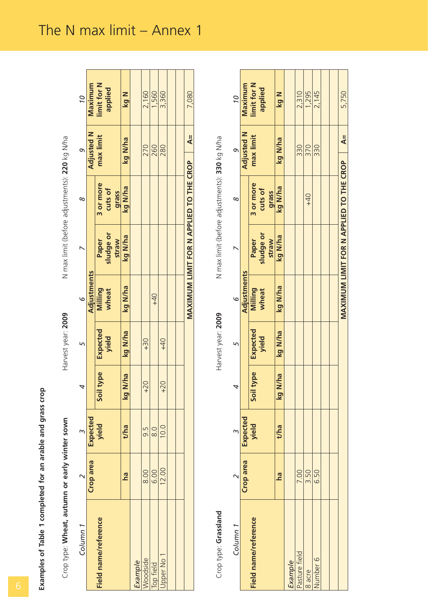| Crop type: Wheat, autumn or early winter sown |                         |                 |           | Harvest year: 2009       |                         | N max limit (before adjustments): 220 kg N/ha |                               |                         |                        |
|-----------------------------------------------|-------------------------|-----------------|-----------|--------------------------|-------------------------|-----------------------------------------------|-------------------------------|-------------------------|------------------------|
| Column <sub>1</sub>                           | $\sim$                  | $\infty$        | 4         | $\sqrt{2}$               | 9                       | $\overline{\phantom{0}}$                      | $\infty$                      | e                       | 01                     |
|                                               | Crop area               | <b>Expected</b> |           |                          | Adjustments             |                                               |                               | <b>Adjusted N</b>       | Maximum                |
| Field name/reference                          |                         | yield           | Soil type | Expected<br>yield        | <b>Milling</b><br>wheat | sludge or<br>straw<br>Paper                   | 3 or more<br>cuts of<br>grass | max limit               | limit for N<br>applied |
|                                               | <u>na</u>               | t/ha            | kg N/ha   | kg N/ha                  | kg N/ha                 | kg N/ha                                       | kg N/ha                       | kg N/ha                 | kg N                   |
| Example                                       |                         |                 |           |                          |                         |                                               |                               |                         |                        |
| Woodside                                      | 8.00                    | 9.5             | $+20$     | $+30$                    |                         |                                               |                               | 270                     | 2,160                  |
| Top field                                     | 6.00                    | 8.0             |           |                          | $+40$                   |                                               |                               | 260                     | 1,560                  |
| Upper No 1                                    | 12.00                   | 10.0            | $+20$     | $+40$                    |                         |                                               |                               | 280                     | 3,360                  |
|                                               |                         |                 |           |                          |                         |                                               |                               |                         |                        |
|                                               |                         |                 |           |                          |                         | MAXIMUM LIMIT FOR N APPLIED TO THE CROP       |                               | $\overline{\mathbf{A}}$ | 7,080                  |
|                                               |                         |                 |           |                          |                         |                                               |                               |                         |                        |
|                                               |                         |                 |           |                          |                         |                                               |                               |                         |                        |
| Crop type: Grassland                          |                         |                 |           | Harvest year: 2009       |                         | N max limit (before adjustments): 330 kg N/ha |                               |                         |                        |
| Column <sub>1</sub>                           | $\overline{\mathsf{C}}$ | m               | 4         | $\mathsf{L}\cap$         | $\circ$                 | $\breve{ }$                                   | $\infty$                      | o                       | 01                     |
|                                               | Crop area               | Expected        |           |                          | Adjustments             |                                               |                               | <b>Adjusted N</b>       | Maximum                |
| Field name/reference                          |                         | yield           | Soil type | Expected<br><b>yield</b> | Milling<br>wheat        | sludge or<br>straw<br>Paper                   | 3 or more<br>cuts of<br>grass | max limit               | limit for N<br>applied |
|                                               | <u>na</u>               | t/ha            | kg N/ha   | kg N/ha                  | kg N/ha                 | kg N/ha                                       | kg N/ha                       | kg N/ha                 | kg N                   |
| <b>Example</b>                                |                         |                 |           |                          |                         |                                               |                               |                         |                        |
| Pasture field                                 | 7.00                    |                 |           |                          |                         |                                               |                               | 330                     | 2,310                  |
| 8 acre                                        | 3.50                    |                 |           |                          |                         |                                               | $+40$                         | 370                     | 1,295                  |
| Number 6                                      | 6.50                    |                 |           |                          |                         |                                               |                               | 330                     | 2,145                  |
|                                               |                         |                 |           |                          |                         |                                               |                               |                         |                        |
|                                               |                         |                 |           |                          |                         |                                               |                               |                         |                        |
|                                               |                         |                 |           |                          |                         | MAXIMUM LIMIT FOR N APPLIED TO THE CROP       |                               | $\overline{\mathbf{A}}$ | 5,750                  |

| ģ |
|---|
|   |
| ٢ |
|   |
|   |
|   |
|   |
|   |
| š |
|   |
|   |

| $\circ$                                 | Adjustments<br>٩ |                                     |
|-----------------------------------------|------------------|-------------------------------------|
|                                         | Expected         | type<br>Soil t<br>Expected<br>yield |
| <b>Milling</b><br>wheat                 | yield            |                                     |
| kg N/ha                                 | kg N/ha          | kg N/ha<br>t/ha                     |
|                                         |                  |                                     |
|                                         |                  |                                     |
|                                         |                  |                                     |
|                                         |                  |                                     |
|                                         |                  |                                     |
|                                         |                  |                                     |
| MAXIMUM LIMIT FOR N APPLIED TO THE CROP |                  |                                     |

# The N max  $\lim_{x \to 0} \frac{1}{x}$  annex 1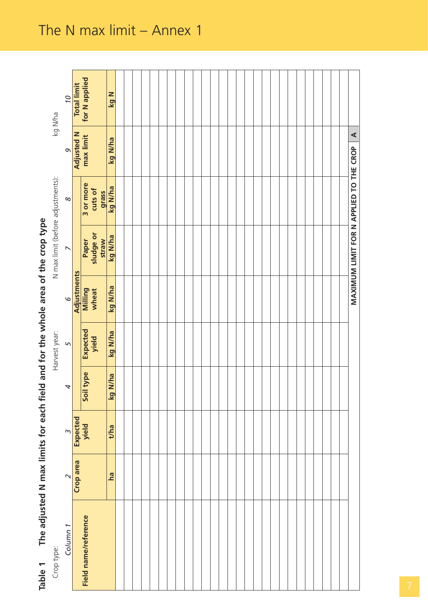| of area of the crop type       |
|--------------------------------|
|                                |
| ומא בא דמר דמי מונ<br>w<br>ココー |
|                                |
| where the field and i.e.       |
|                                |
|                                |
|                                |
| こくら こうしょう                      |
|                                |
| ne adlust<br>۰                 |
|                                |
| Table                          |

| The adjusted N max limits for each fiel<br>Table 1 |           |          |                |                   |                         | d and for the whole area of the crop type |                      |                      |                    |
|----------------------------------------------------|-----------|----------|----------------|-------------------|-------------------------|-------------------------------------------|----------------------|----------------------|--------------------|
| Crop type:                                         |           |          |                | Harvest year:     |                         | N max limit (before adjustments):         |                      |                      | kg Wha             |
| Column <sub>1</sub>                                | $\sim$    | $\sim$   | $\overline{a}$ | 5                 | $\circ$                 | $\overline{\phantom{0}}$                  | $\infty$             | $\sigma$             | 01                 |
|                                                    | Crop area | Expected |                |                   | Adjustments             |                                           |                      | <b>Adjusted N</b>    | <b>Total limit</b> |
| Field name/reference                               |           | yield    | Soil type      | Expected<br>yield | <b>Milling</b><br>wheat | sludge or<br>Paper                        | 3 or more<br>cuts of | max limit            | for N applied      |
|                                                    | ha        | t/ha     | N/ha<br>kg     | kg N/ha           | kg N/ha                 | kg N/ha<br>straw                          | kg N/ha<br>grass     | kg N/ha              | <b>N 6x</b>        |
|                                                    |           |          |                |                   |                         |                                           |                      |                      |                    |
|                                                    |           |          |                |                   |                         |                                           |                      |                      |                    |
|                                                    |           |          |                |                   |                         |                                           |                      |                      |                    |
|                                                    |           |          |                |                   |                         |                                           |                      |                      |                    |
|                                                    |           |          |                |                   |                         |                                           |                      |                      |                    |
|                                                    |           |          |                |                   |                         |                                           |                      |                      |                    |
|                                                    |           |          |                |                   |                         |                                           |                      |                      |                    |
|                                                    |           |          |                |                   |                         |                                           |                      |                      |                    |
|                                                    |           |          |                |                   |                         |                                           |                      |                      |                    |
|                                                    |           |          |                |                   |                         |                                           |                      |                      |                    |
|                                                    |           |          |                |                   |                         |                                           |                      |                      |                    |
|                                                    |           |          |                |                   |                         |                                           |                      |                      |                    |
|                                                    |           |          |                |                   |                         |                                           |                      |                      |                    |
|                                                    |           |          |                |                   |                         |                                           |                      |                      |                    |
|                                                    |           |          |                |                   |                         |                                           |                      |                      |                    |
|                                                    |           |          |                |                   |                         |                                           |                      |                      |                    |
|                                                    |           |          |                |                   |                         |                                           |                      |                      |                    |
|                                                    |           |          |                |                   |                         |                                           |                      |                      |                    |
|                                                    |           |          |                |                   |                         |                                           |                      |                      |                    |
|                                                    |           |          |                |                   |                         |                                           |                      |                      |                    |
|                                                    |           |          |                |                   |                         |                                           |                      |                      |                    |
|                                                    |           |          |                |                   |                         |                                           |                      |                      |                    |
|                                                    |           |          |                |                   |                         |                                           |                      |                      |                    |
|                                                    |           |          |                |                   |                         |                                           |                      |                      |                    |
|                                                    |           |          |                |                   |                         |                                           |                      |                      |                    |
|                                                    |           |          |                |                   |                         |                                           |                      |                      |                    |
|                                                    |           |          |                |                   |                         |                                           |                      |                      |                    |
|                                                    |           |          |                |                   |                         | MAXIMUM LIMIT FOR N APPLIED TO THE CROP   |                      | $\blacktriangleleft$ |                    |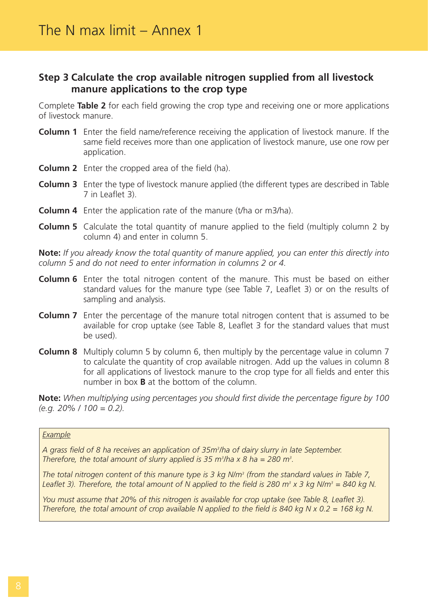#### **Step 3 Calculate the crop available nitrogen supplied from all livestock manure applications to the crop type**

Complete **Table 2** for each field growing the crop type and receiving one or more applications of livestock manure.

- **Column 1** Enter the field name/reference receiving the application of livestock manure. If the same field receives more than one application of livestock manure, use one row per application.
- **Column 2** Enter the cropped area of the field (ha).
- **Column 3** Enter the type of livestock manure applied (the different types are described in Table 7 in Leaflet 3).
- **Column 4** Enter the application rate of the manure (t/ha or m3/ha).
- **Column 5** Calculate the total quantity of manure applied to the field (multiply column 2 by column 4) and enter in column 5.

**Note:** *If you already know the total quantity of manure applied, you can enter this directly into column 5 and do not need to enter information in columns 2 or 4.*

- **Column 6** Enter the total nitrogen content of the manure. This must be based on either standard values for the manure type (see Table 7, Leaflet 3) or on the results of sampling and analysis.
- **Column 7** Enter the percentage of the manure total nitrogen content that is assumed to be available for crop uptake (see Table 8, Leaflet 3 for the standard values that must be used).
- **Column 8** Multiply column 5 by column 6, then multiply by the percentage value in column 7 to calculate the quantity of crop available nitrogen. Add up the values in column 8 for all applications of livestock manure to the crop type for all fields and enter this number in box **B** at the bottom of the column.

**Note:** *When multiplying using percentages you should first divide the percentage figure by 100 (e.g. 20% / 100 = 0.2).*

#### *Example*

*A grass field of 8 ha receives an application of 35m3 /ha of dairy slurry in late September. Therefore, the total amount of slurry applied is 35 m<sup>3</sup>/ha x 8 ha = 280 m<sup>3</sup>.* 

*The total nitrogen content of this manure type is 3 kg N/m3 (from the standard values in Table 7, Leaflet 3). Therefore, the total amount of N applied to the field is 280 m<sup>3</sup>*  $\times$  *3 kg N/m<sup>3</sup> = 840 kg N.* 

*You must assume that 20% of this nitrogen is available for crop uptake (see Table 8, Leaflet 3). Therefore, the total amount of crop available N applied to the field is 840 kg N x 0.2 = 168 kg N.*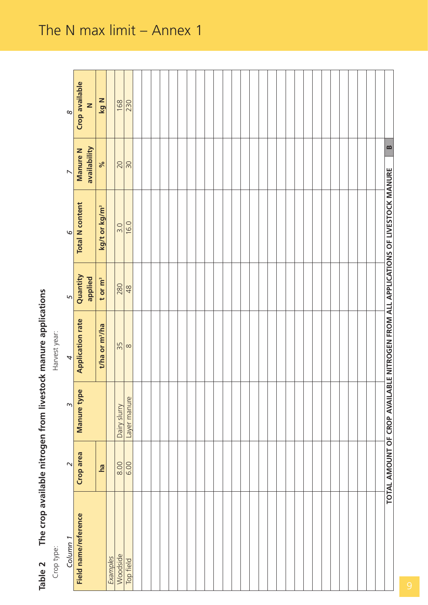| ימים המורכת הודגם הודגם האפגלוסטי אומים המורכת המורכת. |
|--------------------------------------------------------|
|                                                        |
|                                                        |
| J                                                      |
| 5<br>5<br>5<br>5<br>5                                  |
|                                                        |
|                                                        |

| Table 2 The crop available nitrogen from livestock manure applications |                   |              |                            |                     |                                                                                   |                                 |                                |
|------------------------------------------------------------------------|-------------------|--------------|----------------------------|---------------------|-----------------------------------------------------------------------------------|---------------------------------|--------------------------------|
| Crop type:                                                             |                   |              | Harvest year:              |                     |                                                                                   |                                 |                                |
| Column <sub>1</sub>                                                    | $\mathbf{\Omega}$ | $\infty$     | 4                          | $\sqrt{2}$          | $\circ$                                                                           | $\triangleright$                | $\infty$                       |
| Field name/reference                                                   | Crop area         | Manure type  | <b>Application rate</b>    | Quantity<br>applied | <b>Total N</b> content                                                            | availability<br><b>Manure N</b> | Crop available<br>$\mathbf{z}$ |
|                                                                        | ha                |              | t/ha or m <sup>3</sup> /ha | t or m <sup>3</sup> | kg/t or kg/m <sup>3</sup>                                                         | $\aleph$                        | kg N                           |
| Examples                                                               |                   |              |                            |                     |                                                                                   |                                 |                                |
| Woodside                                                               | 8.00              | Dairy slurry | 35                         | 280                 | 3.0                                                                               | 20                              | 168                            |
| Top field                                                              | 6.00              | Layer manure | $\infty$                   | 48                  | 16.0                                                                              | 50                              | 230                            |
|                                                                        |                   |              |                            |                     |                                                                                   |                                 |                                |
|                                                                        |                   |              |                            |                     |                                                                                   |                                 |                                |
|                                                                        |                   |              |                            |                     |                                                                                   |                                 |                                |
|                                                                        |                   |              |                            |                     |                                                                                   |                                 |                                |
|                                                                        |                   |              |                            |                     |                                                                                   |                                 |                                |
|                                                                        |                   |              |                            |                     |                                                                                   |                                 |                                |
|                                                                        |                   |              |                            |                     |                                                                                   |                                 |                                |
|                                                                        |                   |              |                            |                     |                                                                                   |                                 |                                |
|                                                                        |                   |              |                            |                     |                                                                                   |                                 |                                |
|                                                                        |                   |              |                            |                     |                                                                                   |                                 |                                |
|                                                                        |                   |              |                            |                     |                                                                                   |                                 |                                |
|                                                                        |                   |              |                            |                     |                                                                                   |                                 |                                |
|                                                                        |                   |              |                            |                     |                                                                                   |                                 |                                |
|                                                                        |                   |              |                            |                     |                                                                                   |                                 |                                |
|                                                                        |                   |              |                            |                     |                                                                                   |                                 |                                |
|                                                                        |                   |              |                            |                     |                                                                                   |                                 |                                |
|                                                                        |                   |              |                            |                     |                                                                                   |                                 |                                |
|                                                                        |                   |              |                            |                     |                                                                                   |                                 |                                |
|                                                                        |                   |              |                            |                     |                                                                                   |                                 |                                |
|                                                                        |                   |              |                            |                     |                                                                                   |                                 |                                |
|                                                                        |                   |              |                            |                     |                                                                                   |                                 |                                |
|                                                                        |                   |              |                            |                     |                                                                                   |                                 |                                |
|                                                                        |                   |              |                            |                     |                                                                                   |                                 |                                |
|                                                                        |                   |              |                            |                     |                                                                                   |                                 |                                |
|                                                                        |                   |              |                            |                     |                                                                                   |                                 |                                |
|                                                                        |                   |              |                            |                     |                                                                                   |                                 |                                |
|                                                                        |                   |              |                            |                     |                                                                                   |                                 |                                |
|                                                                        |                   |              |                            |                     |                                                                                   |                                 |                                |
|                                                                        |                   |              |                            |                     | TOTAL AMOUNT OF CROP AVAILABLE NITROGEN FROM ALL APPLICATIONS OF LIVESTOCK MANURE | $\mathbf{r}$                    |                                |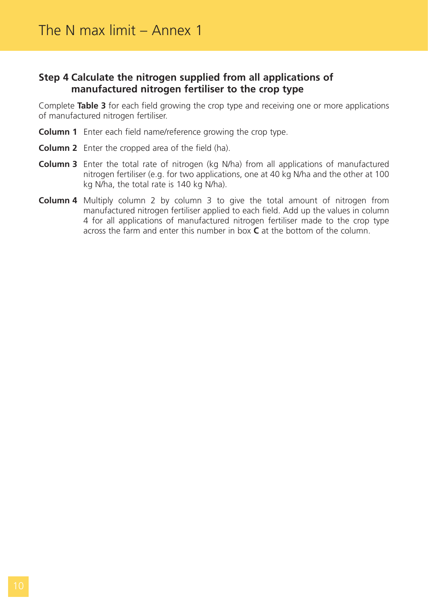#### **Step 4 Calculate the nitrogen supplied from all applications of manufactured nitrogen fertiliser to the crop type**

Complete **Table 3** for each field growing the crop type and receiving one or more applications of manufactured nitrogen fertiliser.

- **Column 1** Enter each field name/reference growing the crop type.
- **Column 2** Enter the cropped area of the field (ha).
- **Column 3** Enter the total rate of nitrogen (kg N/ha) from all applications of manufactured nitrogen fertiliser (e.g. for two applications, one at 40 kg N/ha and the other at 100 kg N/ha, the total rate is 140 kg N/ha).
- **Column 4** Multiply column 2 by column 3 to give the total amount of nitrogen from manufactured nitrogen fertiliser applied to each field. Add up the values in column 4 for all applications of manufactured nitrogen fertiliser made to the crop type across the farm and enter this number in box **C** at the bottom of the column.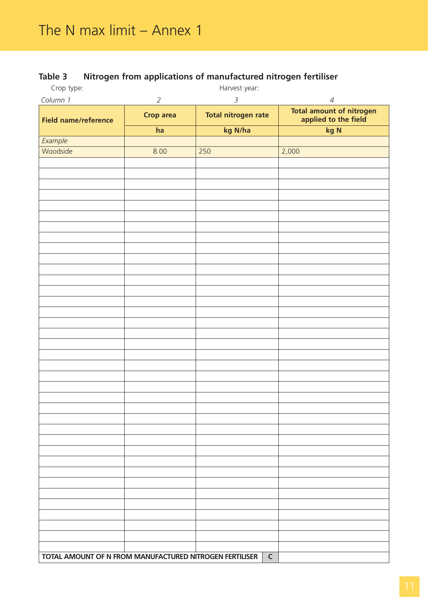# **Table 3 Nitrogen from applications of manufactured nitrogen fertiliser**

| Crop type:                                              |                  | Harvest year:              |                                                  |
|---------------------------------------------------------|------------------|----------------------------|--------------------------------------------------|
| Column 1                                                | $\overline{2}$   | $\mathfrak{Z}$             | $\overline{4}$                                   |
| <b>Field name/reference</b>                             | <b>Crop area</b> | <b>Total nitrogen rate</b> | Total amount of nitrogen<br>applied to the field |
|                                                         | ha               | kg N/ha                    | kg N                                             |
| Example                                                 |                  |                            |                                                  |
| Woodside                                                | 8.00             | 250                        | 2,000                                            |
|                                                         |                  |                            |                                                  |
|                                                         |                  |                            |                                                  |
|                                                         |                  |                            |                                                  |
|                                                         |                  |                            |                                                  |
|                                                         |                  |                            |                                                  |
|                                                         |                  |                            |                                                  |
|                                                         |                  |                            |                                                  |
|                                                         |                  |                            |                                                  |
|                                                         |                  |                            |                                                  |
|                                                         |                  |                            |                                                  |
|                                                         |                  |                            |                                                  |
|                                                         |                  |                            |                                                  |
|                                                         |                  |                            |                                                  |
|                                                         |                  |                            |                                                  |
|                                                         |                  |                            |                                                  |
|                                                         |                  |                            |                                                  |
|                                                         |                  |                            |                                                  |
|                                                         |                  |                            |                                                  |
|                                                         |                  |                            |                                                  |
|                                                         |                  |                            |                                                  |
|                                                         |                  |                            |                                                  |
|                                                         |                  |                            |                                                  |
|                                                         |                  |                            |                                                  |
|                                                         |                  |                            |                                                  |
|                                                         |                  |                            |                                                  |
|                                                         |                  |                            |                                                  |
|                                                         |                  |                            |                                                  |
|                                                         |                  |                            |                                                  |
|                                                         |                  |                            |                                                  |
|                                                         |                  |                            |                                                  |
|                                                         |                  |                            |                                                  |
|                                                         |                  |                            |                                                  |
|                                                         |                  |                            |                                                  |
|                                                         |                  |                            |                                                  |
| TOTAL AMOUNT OF N FROM MANUFACTURED NITROGEN FERTILISER |                  | $\mathsf{C}$               |                                                  |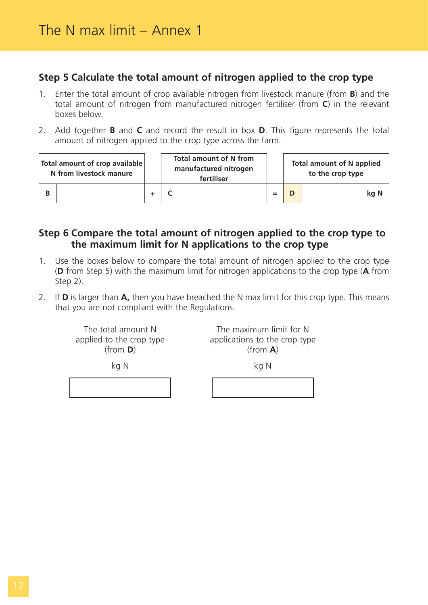# **Step 5 Calculate the total amount of nitrogen applied to the crop type**

- 1. Enter the total amount of crop available nitrogen from livestock manure (from **B**) and the total amount of nitrogen from manufactured nitrogen fertiliser (from **C**) in the relevant boxes below.
- 2. Add together **B** and **C** and record the result in box **D**. This figure represents the total amount of nitrogen applied to the crop type across the farm.

| Total amount of crop available<br>N from livestock manure |  | <b>Total amount of N from</b><br>manufactured nitrogen<br>fertiliser |     | <b>Total amount of N applied</b><br>to the crop type |
|-----------------------------------------------------------|--|----------------------------------------------------------------------|-----|------------------------------------------------------|
|                                                           |  |                                                                      | $=$ | kg N                                                 |

# **Step 6 Compare the total amount of nitrogen applied to the crop type to the maximum limit for N applications to the crop type**

- 1. Use the boxes below to compare the total amount of nitrogen applied to the crop type (**D** from Step 5) with the maximum limit for nitrogen applications to the crop type (**A** from Step 2).
- 2. If **D** is larger than **A,** then you have breached the N max limit for this crop type. This means that you are not compliant with the Regulations.